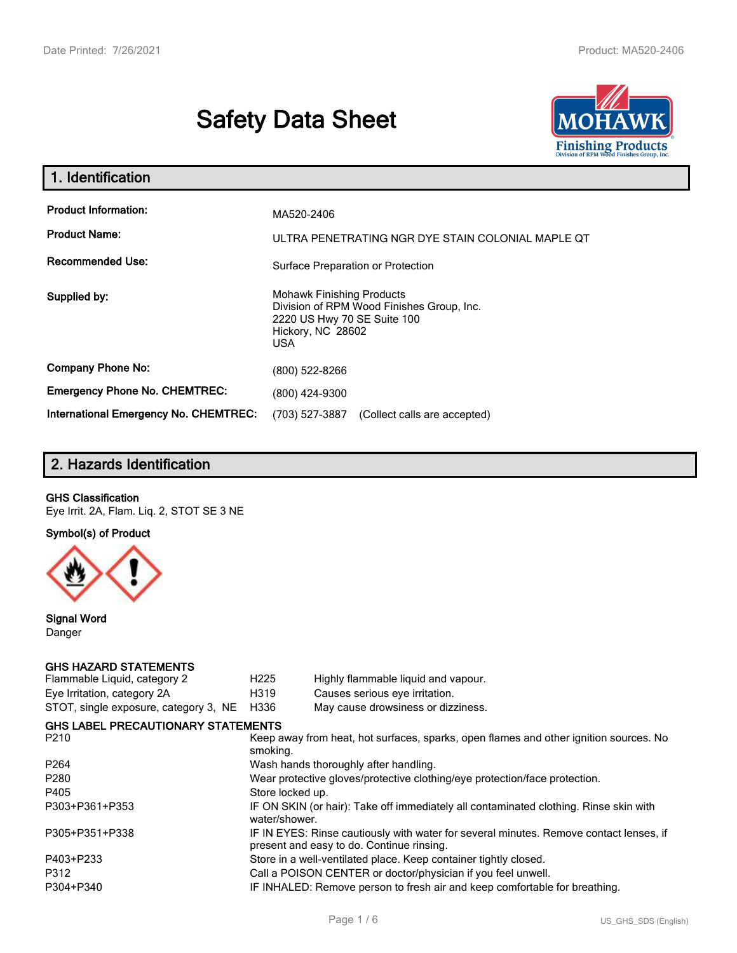# **Safety Data Sheet**



| 1. Identification                                                              |                                                                                                                                                 |  |  |  |
|--------------------------------------------------------------------------------|-------------------------------------------------------------------------------------------------------------------------------------------------|--|--|--|
| <b>Product Information:</b><br><b>Product Name:</b><br><b>Recommended Use:</b> | MA520-2406<br>ULTRA PENETRATING NGR DYE STAIN COLONIAL MAPLE OT<br>Surface Preparation or Protection                                            |  |  |  |
| Supplied by:                                                                   | <b>Mohawk Finishing Products</b><br>Division of RPM Wood Finishes Group, Inc.<br>2220 US Hwy 70 SE Suite 100<br>Hickory, NC 28602<br><b>USA</b> |  |  |  |
| <b>Company Phone No:</b>                                                       | (800) 522-8266                                                                                                                                  |  |  |  |
| <b>Emergency Phone No. CHEMTREC:</b>                                           | (800) 424-9300                                                                                                                                  |  |  |  |
| <b>International Emergency No. CHEMTREC:</b>                                   | (703) 527-3887<br>(Collect calls are accepted)                                                                                                  |  |  |  |

# **2. Hazards Identification**

#### **GHS Classification**

Eye Irrit. 2A, Flam. Liq. 2, STOT SE 3 NE

**Symbol(s) of Product**



**Signal Word** Danger

#### **GHS HAZARD STATEMENTS**

| H <sub>225</sub> | Highly flammable liquid and vapour.                                                                                                 |  |  |  |
|------------------|-------------------------------------------------------------------------------------------------------------------------------------|--|--|--|
| H319             | Causes serious eye irritation.                                                                                                      |  |  |  |
| H336             | May cause drowsiness or dizziness.                                                                                                  |  |  |  |
|                  |                                                                                                                                     |  |  |  |
| smoking.         | Keep away from heat, hot surfaces, sparks, open flames and other ignition sources. No                                               |  |  |  |
|                  | Wash hands thoroughly after handling.                                                                                               |  |  |  |
|                  | Wear protective gloves/protective clothing/eye protection/face protection.                                                          |  |  |  |
| Store locked up. |                                                                                                                                     |  |  |  |
| water/shower.    | IF ON SKIN (or hair): Take off immediately all contaminated clothing. Rinse skin with                                               |  |  |  |
|                  | IF IN EYES: Rinse cautiously with water for several minutes. Remove contact lenses, if<br>present and easy to do. Continue rinsing. |  |  |  |
|                  | Store in a well-ventilated place. Keep container tightly closed.                                                                    |  |  |  |
|                  | Call a POISON CENTER or doctor/physician if you feel unwell.                                                                        |  |  |  |
|                  | IF INHALED: Remove person to fresh air and keep comfortable for breathing.                                                          |  |  |  |
|                  | STOT, single exposure, category 3, NE<br><b>GHS LABEL PRECAUTIONARY STATEMENTS</b>                                                  |  |  |  |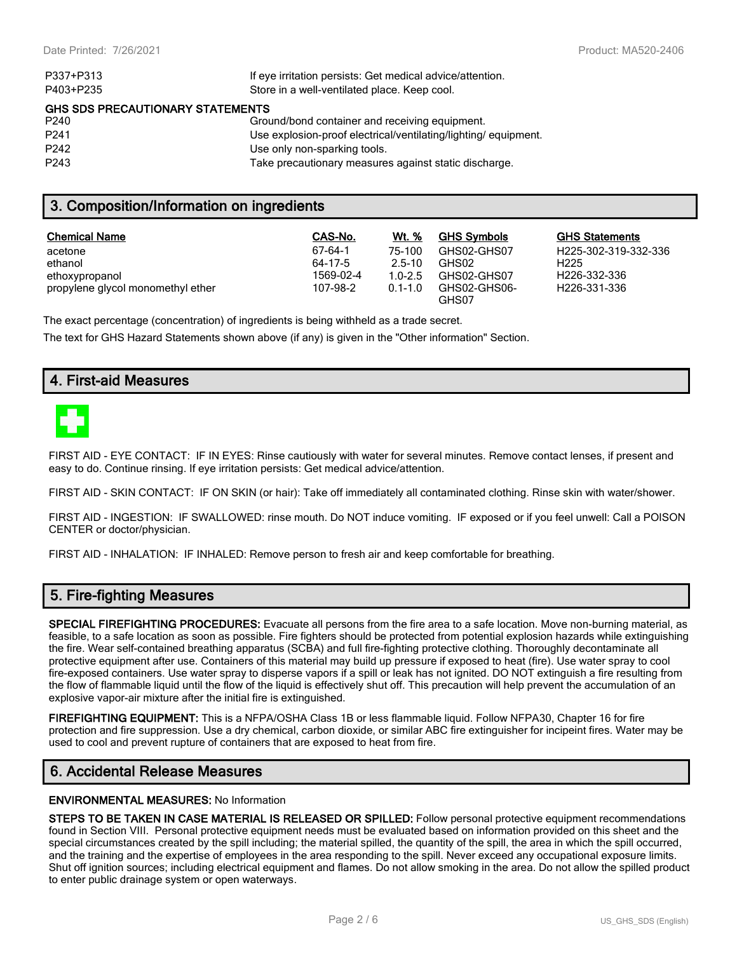| If eye irritation persists: Get medical advice/attention.      |
|----------------------------------------------------------------|
| Store in a well-ventilated place. Keep cool.                   |
| GHS SDS PRECAUTIONARY STATEMENTS                               |
| Ground/bond container and receiving equipment.                 |
| Use explosion-proof electrical/ventilating/lighting/equipment. |
| Use only non-sparking tools.                                   |
| Take precautionary measures against static discharge.          |
|                                                                |

## **3. Composition/Information on ingredients**

| <b>Chemical Name</b>              | CAS-No.   | <b>Wt.</b> % | <b>GHS Symbols</b>    | <b>GHS Statements</b> |
|-----------------------------------|-----------|--------------|-----------------------|-----------------------|
| acetone                           | 67-64-1   | 75-100       | GHS02-GHS07           | H225-302-319-332-336  |
| ethanol                           | 64-17-5   | $2.5 - 10$   | GHS02                 | H <sub>225</sub>      |
| ethoxypropanol                    | 1569-02-4 | $1.0 - 2.5$  | GHS02-GHS07           | H226-332-336          |
| propylene glycol monomethyl ether | 107-98-2  | $0.1 - 1.0$  | GHS02-GHS06-<br>GHS07 | H226-331-336          |

The exact percentage (concentration) of ingredients is being withheld as a trade secret.

The text for GHS Hazard Statements shown above (if any) is given in the "Other information" Section.

## **4. First-aid Measures**



FIRST AID - EYE CONTACT: IF IN EYES: Rinse cautiously with water for several minutes. Remove contact lenses, if present and easy to do. Continue rinsing. If eye irritation persists: Get medical advice/attention.

FIRST AID - SKIN CONTACT: IF ON SKIN (or hair): Take off immediately all contaminated clothing. Rinse skin with water/shower.

FIRST AID - INGESTION: IF SWALLOWED: rinse mouth. Do NOT induce vomiting. IF exposed or if you feel unwell: Call a POISON CENTER or doctor/physician.

FIRST AID - INHALATION: IF INHALED: Remove person to fresh air and keep comfortable for breathing.

## **5. Fire-fighting Measures**

**SPECIAL FIREFIGHTING PROCEDURES:** Evacuate all persons from the fire area to a safe location. Move non-burning material, as feasible, to a safe location as soon as possible. Fire fighters should be protected from potential explosion hazards while extinguishing the fire. Wear self-contained breathing apparatus (SCBA) and full fire-fighting protective clothing. Thoroughly decontaminate all protective equipment after use. Containers of this material may build up pressure if exposed to heat (fire). Use water spray to cool fire-exposed containers. Use water spray to disperse vapors if a spill or leak has not ignited. DO NOT extinguish a fire resulting from the flow of flammable liquid until the flow of the liquid is effectively shut off. This precaution will help prevent the accumulation of an explosive vapor-air mixture after the initial fire is extinguished.

**FIREFIGHTING EQUIPMENT:** This is a NFPA/OSHA Class 1B or less flammable liquid. Follow NFPA30, Chapter 16 for fire protection and fire suppression. Use a dry chemical, carbon dioxide, or similar ABC fire extinguisher for incipeint fires. Water may be used to cool and prevent rupture of containers that are exposed to heat from fire.

## **6. Accidental Release Measures**

#### **ENVIRONMENTAL MEASURES:** No Information

**STEPS TO BE TAKEN IN CASE MATERIAL IS RELEASED OR SPILLED:** Follow personal protective equipment recommendations found in Section VIII. Personal protective equipment needs must be evaluated based on information provided on this sheet and the special circumstances created by the spill including; the material spilled, the quantity of the spill, the area in which the spill occurred, and the training and the expertise of employees in the area responding to the spill. Never exceed any occupational exposure limits. Shut off ignition sources; including electrical equipment and flames. Do not allow smoking in the area. Do not allow the spilled product to enter public drainage system or open waterways.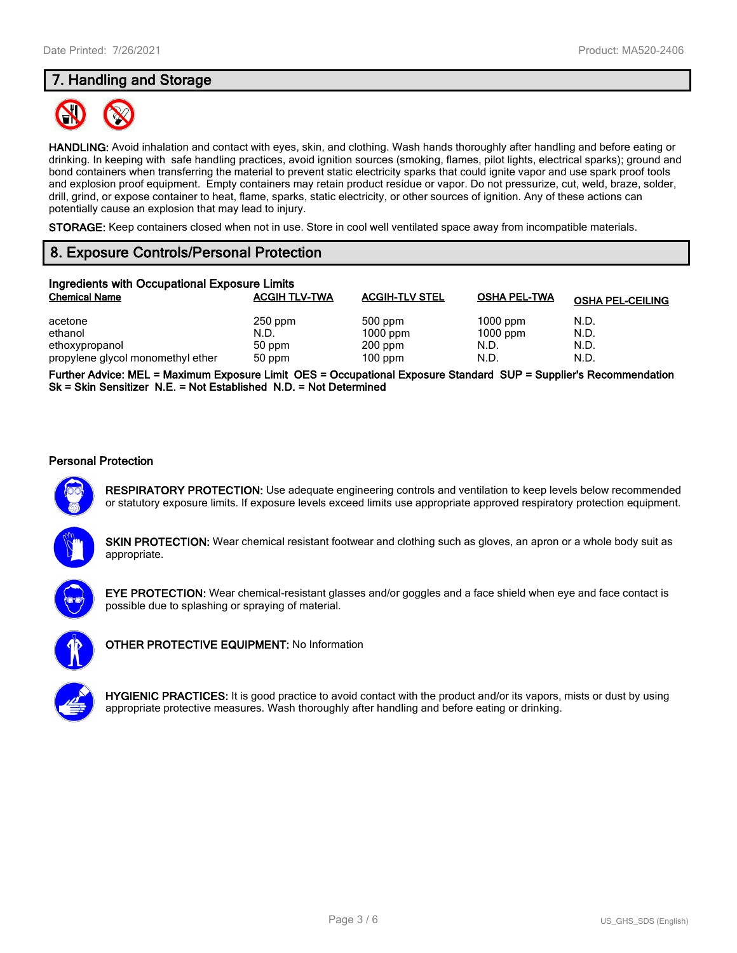# **7. Handling and Storage**



**HANDLING:** Avoid inhalation and contact with eyes, skin, and clothing. Wash hands thoroughly after handling and before eating or drinking. In keeping with safe handling practices, avoid ignition sources (smoking, flames, pilot lights, electrical sparks); ground and bond containers when transferring the material to prevent static electricity sparks that could ignite vapor and use spark proof tools and explosion proof equipment. Empty containers may retain product residue or vapor. Do not pressurize, cut, weld, braze, solder, drill, grind, or expose container to heat, flame, sparks, static electricity, or other sources of ignition. Any of these actions can potentially cause an explosion that may lead to injury.

**STORAGE:** Keep containers closed when not in use. Store in cool well ventilated space away from incompatible materials.

# **8. Exposure Controls/Personal Protection**

| Ingredients with Occupational Exposure Limits |                      |                       |                     |                         |  |  |
|-----------------------------------------------|----------------------|-----------------------|---------------------|-------------------------|--|--|
| <b>Chemical Name</b>                          | <b>ACGIH TLV-TWA</b> | <b>ACGIH-TLV STEL</b> | <b>OSHA PEL-TWA</b> | <b>OSHA PEL-CEILING</b> |  |  |
| acetone                                       | $250$ ppm            | 500 ppm               | $1000$ ppm          | N.D.                    |  |  |
| ethanol                                       | N.D.                 | $1000$ ppm            | $1000$ ppm          | N.D.                    |  |  |
| ethoxypropanol                                | 50 ppm               | $200$ ppm             | N.D.                | N.D.                    |  |  |
| propylene glycol monomethyl ether             | 50 ppm               | $100$ ppm             | N.D.                | N.D.                    |  |  |

**Further Advice: MEL = Maximum Exposure Limit OES = Occupational Exposure Standard SUP = Supplier's Recommendation Sk = Skin Sensitizer N.E. = Not Established N.D. = Not Determined**

#### **Personal Protection**



**RESPIRATORY PROTECTION:** Use adequate engineering controls and ventilation to keep levels below recommended or statutory exposure limits. If exposure levels exceed limits use appropriate approved respiratory protection equipment.

**SKIN PROTECTION:** Wear chemical resistant footwear and clothing such as gloves, an apron or a whole body suit as appropriate.



**EYE PROTECTION:** Wear chemical-resistant glasses and/or goggles and a face shield when eye and face contact is possible due to splashing or spraying of material.



**OTHER PROTECTIVE EQUIPMENT:** No Information



**HYGIENIC PRACTICES:** It is good practice to avoid contact with the product and/or its vapors, mists or dust by using appropriate protective measures. Wash thoroughly after handling and before eating or drinking.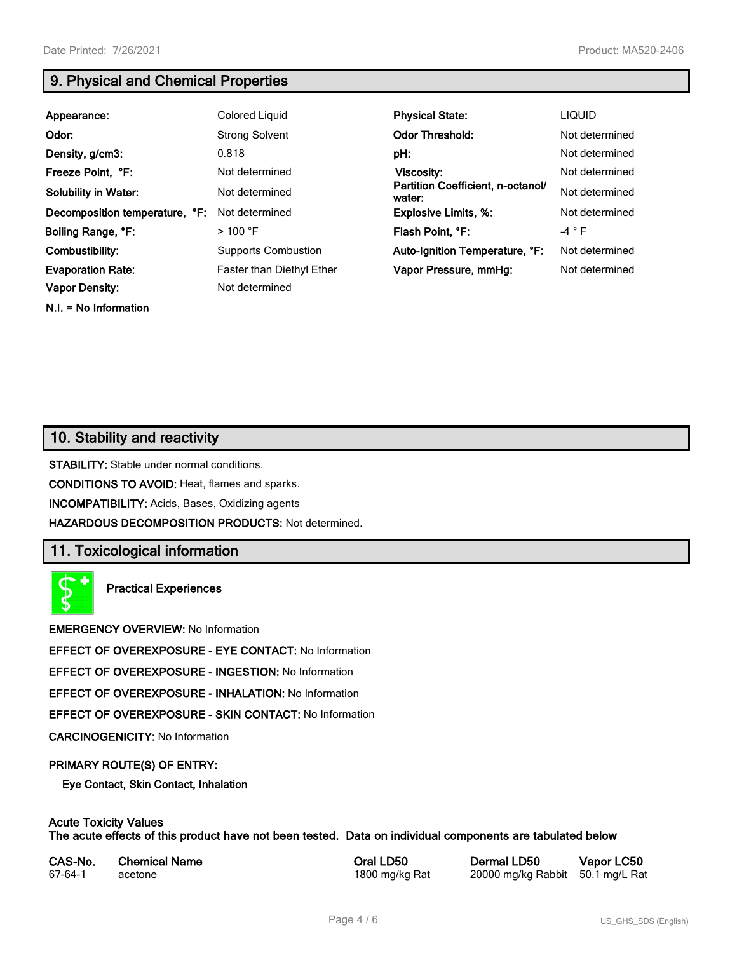**N.I. = No Information**

# **9. Physical and Chemical Properties**

| Appearance:                    | Colored Liquid                   | <b>Physical State:</b>                      | <b>LIQUID</b>  |
|--------------------------------|----------------------------------|---------------------------------------------|----------------|
| Odor:                          | <b>Strong Solvent</b>            | <b>Odor Threshold:</b>                      | Not determined |
| Density, g/cm3:                | 0.818                            | pH:                                         | Not determined |
| Freeze Point, °F:              | Not determined                   | Viscosity:                                  | Not determined |
| <b>Solubility in Water:</b>    | Not determined                   | Partition Coefficient, n-octanol/<br>water: | Not determined |
| Decomposition temperature, °F: | Not determined                   | <b>Explosive Limits, %:</b>                 | Not determined |
| Boiling Range, °F:             | $>$ 100 °F                       | Flash Point, °F:                            | $-4 ° F$       |
| Combustibility:                | <b>Supports Combustion</b>       | Auto-Ignition Temperature, °F:              | Not determined |
| <b>Evaporation Rate:</b>       | <b>Faster than Diethyl Ether</b> | Vapor Pressure, mmHg:                       | Not determined |
| <b>Vapor Density:</b>          | Not determined                   |                                             |                |

## **10. Stability and reactivity**

**STABILITY:** Stable under normal conditions.

**CONDITIONS TO AVOID:** Heat, flames and sparks.

**INCOMPATIBILITY:** Acids, Bases, Oxidizing agents

**HAZARDOUS DECOMPOSITION PRODUCTS:** Not determined.

## **11. Toxicological information**

**Practical Experiences**

**EMERGENCY OVERVIEW:** No Information

**EFFECT OF OVEREXPOSURE - EYE CONTACT:** No Information

**EFFECT OF OVEREXPOSURE - INGESTION:** No Information

**EFFECT OF OVEREXPOSURE - INHALATION:** No Information

**EFFECT OF OVEREXPOSURE - SKIN CONTACT:** No Information

**CARCINOGENICITY:** No Information

#### **PRIMARY ROUTE(S) OF ENTRY:**

**Eye Contact, Skin Contact, Inhalation**

# **Acute Toxicity Values**

**The acute effects of this product have not been tested. Data on individual components are tabulated below**

| CAS-No. | <b>Chemical Name</b> |
|---------|----------------------|
| 67-64-1 | acetone              |

**Casary Chemical Chemical LD50 Chemical LD50 Vapor LC50** 1800 mg/kg Rat 20000 mg/kg Rabbit 50.1 mg/L Rat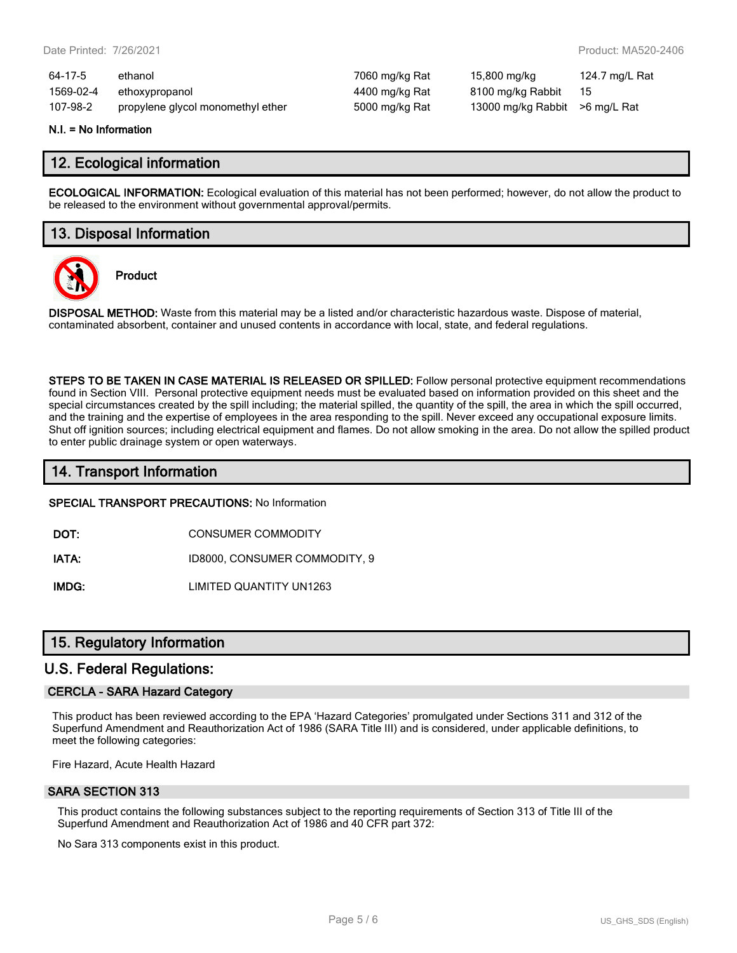| 64-17-5   | ethanol                           | 7060 mg/kg Rat | 15,800 mg/kg                    | 124.7 mg/L Rat |
|-----------|-----------------------------------|----------------|---------------------------------|----------------|
| 1569-02-4 | ethoxypropanol                    | 4400 mg/kg Rat | 8100 mg/kg Rabbit               | - 15           |
| 107-98-2  | propylene glycol monomethyl ether | 5000 mg/kg Rat | 13000 mg/kg Rabbit > 6 mg/L Rat |                |

#### **N.I. = No Information**

## **12. Ecological information**

**ECOLOGICAL INFORMATION:** Ecological evaluation of this material has not been performed; however, do not allow the product to be released to the environment without governmental approval/permits.

## **13. Disposal Information**



**Product**

**DISPOSAL METHOD:** Waste from this material may be a listed and/or characteristic hazardous waste. Dispose of material, contaminated absorbent, container and unused contents in accordance with local, state, and federal regulations.

**STEPS TO BE TAKEN IN CASE MATERIAL IS RELEASED OR SPILLED:** Follow personal protective equipment recommendations found in Section VIII. Personal protective equipment needs must be evaluated based on information provided on this sheet and the special circumstances created by the spill including; the material spilled, the quantity of the spill, the area in which the spill occurred, and the training and the expertise of employees in the area responding to the spill. Never exceed any occupational exposure limits. Shut off ignition sources; including electrical equipment and flames. Do not allow smoking in the area. Do not allow the spilled product to enter public drainage system or open waterways.

## **14. Transport Information**

#### **SPECIAL TRANSPORT PRECAUTIONS:** No Information

**DOT:** CONSUMER COMMODITY

**IATA:** ID8000, CONSUMER COMMODITY, 9

**IMDG:** LIMITED QUANTITY UN1263

## **15. Regulatory Information**

#### **U.S. Federal Regulations:**

#### **CERCLA - SARA Hazard Category**

This product has been reviewed according to the EPA 'Hazard Categories' promulgated under Sections 311 and 312 of the Superfund Amendment and Reauthorization Act of 1986 (SARA Title III) and is considered, under applicable definitions, to meet the following categories:

Fire Hazard, Acute Health Hazard

#### **SARA SECTION 313**

This product contains the following substances subject to the reporting requirements of Section 313 of Title III of the Superfund Amendment and Reauthorization Act of 1986 and 40 CFR part 372:

No Sara 313 components exist in this product.